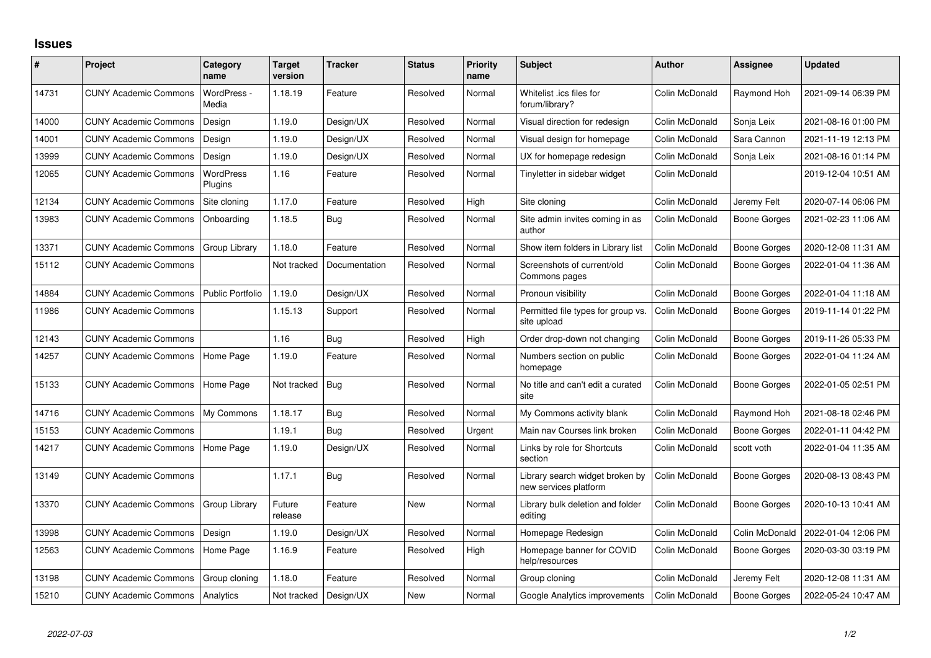## **Issues**

| #     | Project                      | Category<br>name            | <b>Target</b><br>version | <b>Tracker</b> | <b>Status</b> | <b>Priority</b><br>name | <b>Subject</b>                                           | <b>Author</b>  | Assignee            | <b>Updated</b>      |
|-------|------------------------------|-----------------------------|--------------------------|----------------|---------------|-------------------------|----------------------------------------------------------|----------------|---------------------|---------------------|
| 14731 | <b>CUNY Academic Commons</b> | WordPress -<br>Media        | 1.18.19                  | Feature        | Resolved      | Normal                  | Whitelist .ics files for<br>forum/library?               | Colin McDonald | Raymond Hoh         | 2021-09-14 06:39 PM |
| 14000 | <b>CUNY Academic Commons</b> | Design                      | 1.19.0                   | Design/UX      | Resolved      | Normal                  | Visual direction for redesign                            | Colin McDonald | Sonja Leix          | 2021-08-16 01:00 PM |
| 14001 | <b>CUNY Academic Commons</b> | Design                      | 1.19.0                   | Design/UX      | Resolved      | Normal                  | Visual design for homepage                               | Colin McDonald | Sara Cannon         | 2021-11-19 12:13 PM |
| 13999 | <b>CUNY Academic Commons</b> | Design                      | 1.19.0                   | Design/UX      | Resolved      | Normal                  | UX for homepage redesign                                 | Colin McDonald | Sonja Leix          | 2021-08-16 01:14 PM |
| 12065 | <b>CUNY Academic Commons</b> | <b>WordPress</b><br>Plugins | 1.16                     | Feature        | Resolved      | Normal                  | Tinyletter in sidebar widget                             | Colin McDonald |                     | 2019-12-04 10:51 AM |
| 12134 | <b>CUNY Academic Commons</b> | Site cloning                | 1.17.0                   | Feature        | Resolved      | High                    | Site cloning                                             | Colin McDonald | Jeremy Felt         | 2020-07-14 06:06 PM |
| 13983 | <b>CUNY Academic Commons</b> | Onboarding                  | 1.18.5                   | Bug            | Resolved      | Normal                  | Site admin invites coming in as<br>author                | Colin McDonald | Boone Gorges        | 2021-02-23 11:06 AM |
| 13371 | <b>CUNY Academic Commons</b> | Group Library               | 1.18.0                   | Feature        | Resolved      | Normal                  | Show item folders in Library list                        | Colin McDonald | Boone Gorges        | 2020-12-08 11:31 AM |
| 15112 | <b>CUNY Academic Commons</b> |                             | Not tracked              | Documentation  | Resolved      | Normal                  | Screenshots of current/old<br>Commons pages              | Colin McDonald | Boone Gorges        | 2022-01-04 11:36 AM |
| 14884 | <b>CUNY Academic Commons</b> | <b>Public Portfolio</b>     | 1.19.0                   | Design/UX      | Resolved      | Normal                  | Pronoun visibility                                       | Colin McDonald | <b>Boone Gorges</b> | 2022-01-04 11:18 AM |
| 11986 | <b>CUNY Academic Commons</b> |                             | 1.15.13                  | Support        | Resolved      | Normal                  | Permitted file types for group vs.<br>site upload        | Colin McDonald | Boone Gorges        | 2019-11-14 01:22 PM |
| 12143 | <b>CUNY Academic Commons</b> |                             | 1.16                     | Bug            | Resolved      | High                    | Order drop-down not changing                             | Colin McDonald | <b>Boone Gorges</b> | 2019-11-26 05:33 PM |
| 14257 | <b>CUNY Academic Commons</b> | Home Page                   | 1.19.0                   | Feature        | Resolved      | Normal                  | Numbers section on public<br>homepage                    | Colin McDonald | Boone Gorges        | 2022-01-04 11:24 AM |
| 15133 | <b>CUNY Academic Commons</b> | Home Page                   | Not tracked              | Bug            | Resolved      | Normal                  | No title and can't edit a curated<br>site                | Colin McDonald | <b>Boone Gorges</b> | 2022-01-05 02:51 PM |
| 14716 | <b>CUNY Academic Commons</b> | My Commons                  | 1.18.17                  | Bug            | Resolved      | Normal                  | My Commons activity blank                                | Colin McDonald | Raymond Hoh         | 2021-08-18 02:46 PM |
| 15153 | <b>CUNY Academic Commons</b> |                             | 1.19.1                   | Bug            | Resolved      | Urgent                  | Main nav Courses link broken                             | Colin McDonald | Boone Gorges        | 2022-01-11 04:42 PM |
| 14217 | <b>CUNY Academic Commons</b> | Home Page                   | 1.19.0                   | Design/UX      | Resolved      | Normal                  | Links by role for Shortcuts<br>section                   | Colin McDonald | scott voth          | 2022-01-04 11:35 AM |
| 13149 | <b>CUNY Academic Commons</b> |                             | 1.17.1                   | Bug            | Resolved      | Normal                  | Library search widget broken by<br>new services platform | Colin McDonald | <b>Boone Gorges</b> | 2020-08-13 08:43 PM |
| 13370 | <b>CUNY Academic Commons</b> | Group Library               | Future<br>release        | Feature        | <b>New</b>    | Normal                  | Library bulk deletion and folder<br>editing              | Colin McDonald | <b>Boone Gorges</b> | 2020-10-13 10:41 AM |
| 13998 | <b>CUNY Academic Commons</b> | Design                      | 1.19.0                   | Design/UX      | Resolved      | Normal                  | Homepage Redesign                                        | Colin McDonald | Colin McDonald      | 2022-01-04 12:06 PM |
| 12563 | <b>CUNY Academic Commons</b> | Home Page                   | 1.16.9                   | Feature        | Resolved      | High                    | Homepage banner for COVID<br>help/resources              | Colin McDonald | Boone Gorges        | 2020-03-30 03:19 PM |
| 13198 | <b>CUNY Academic Commons</b> | Group cloning               | 1.18.0                   | Feature        | Resolved      | Normal                  | Group cloning                                            | Colin McDonald | Jeremy Felt         | 2020-12-08 11:31 AM |
| 15210 | <b>CUNY Academic Commons</b> | Analytics                   | Not tracked              | Design/UX      | <b>New</b>    | Normal                  | Google Analytics improvements                            | Colin McDonald | Boone Gorges        | 2022-05-24 10:47 AM |